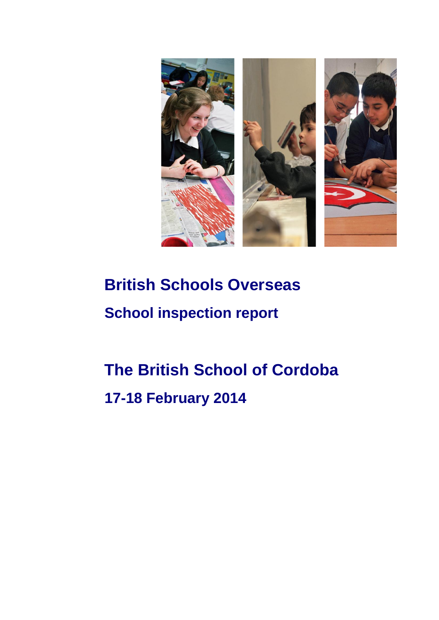

# **British Schools Overseas School inspection report**

# **The British School of Cordoba 17-18 February 2014**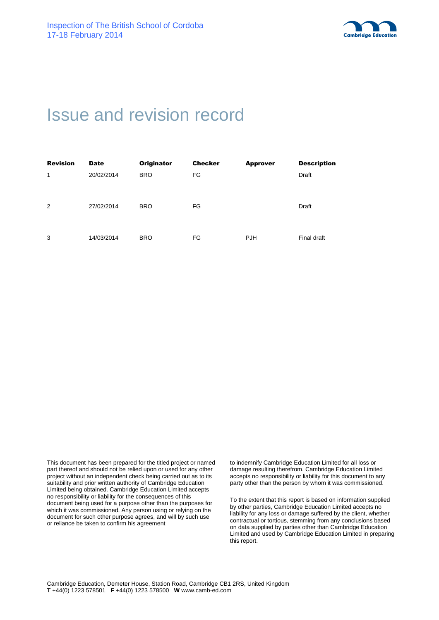

# Issue and revision record

| <b>Revision</b> | <b>Date</b> | <b>Originator</b> | <b>Checker</b> | <b>Approver</b> | <b>Description</b> |
|-----------------|-------------|-------------------|----------------|-----------------|--------------------|
| 1               | 20/02/2014  | <b>BRO</b>        | FG             |                 | Draft              |
|                 |             |                   |                |                 |                    |
|                 |             |                   |                |                 |                    |
| 2               | 27/02/2014  | <b>BRO</b>        | FG             |                 | Draft              |
|                 |             |                   |                |                 |                    |
|                 |             |                   |                |                 |                    |
| 3               | 14/03/2014  | <b>BRO</b>        | FG             | <b>PJH</b>      | Final draft        |

This document has been prepared for the titled project or named part thereof and should not be relied upon or used for any other project without an independent check being carried out as to its suitability and prior written authority of Cambridge Education Limited being obtained. Cambridge Education Limited accepts no responsibility or liability for the consequences of this document being used for a purpose other than the purposes for which it was commissioned. Any person using or relying on the document for such other purpose agrees, and will by such use or reliance be taken to confirm his agreement

to indemnify Cambridge Education Limited for all loss or damage resulting therefrom. Cambridge Education Limited accepts no responsibility or liability for this document to any party other than the person by whom it was commissioned.

To the extent that this report is based on information supplied by other parties, Cambridge Education Limited accepts no liability for any loss or damage suffered by the client, whether contractual or tortious, stemming from any conclusions based on data supplied by parties other than Cambridge Education Limited and used by Cambridge Education Limited in preparing this report.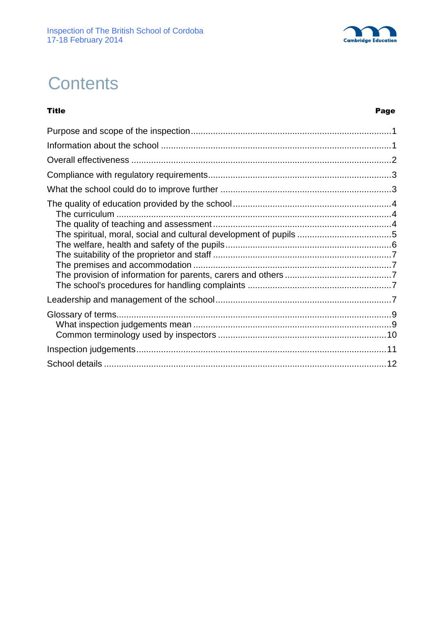

# **Contents**

#### Title Page

| The spiritual, moral, social and cultural development of pupils 5 |  |
|-------------------------------------------------------------------|--|
|                                                                   |  |
|                                                                   |  |
|                                                                   |  |
|                                                                   |  |
|                                                                   |  |
|                                                                   |  |
|                                                                   |  |
|                                                                   |  |
|                                                                   |  |
|                                                                   |  |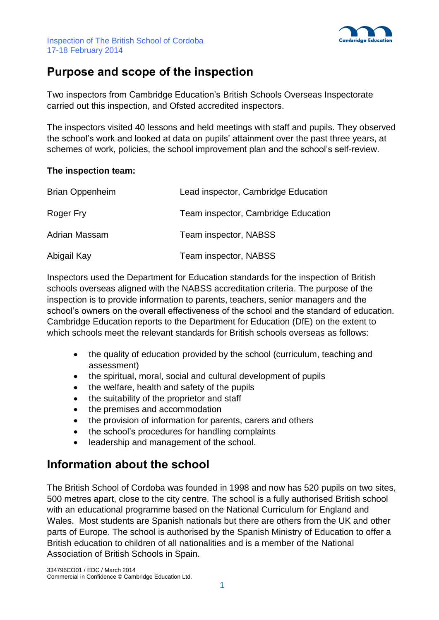



## **Purpose and scope of the inspection**

Two inspectors from Cambridge Education's British Schools Overseas Inspectorate carried out this inspection, and Ofsted accredited inspectors.

The inspectors visited 40 lessons and held meetings with staff and pupils. They observed the school's work and looked at data on pupils' attainment over the past three years, at schemes of work, policies, the school improvement plan and the school's self-review.

#### **The inspection team:**

| <b>Brian Oppenheim</b> | Lead inspector, Cambridge Education |
|------------------------|-------------------------------------|
| Roger Fry              | Team inspector, Cambridge Education |
| Adrian Massam          | Team inspector, NABSS               |
| Abigail Kay            | Team inspector, NABSS               |

Inspectors used the Department for Education standards for the inspection of British schools overseas aligned with the NABSS accreditation criteria. The purpose of the inspection is to provide information to parents, teachers, senior managers and the school's owners on the overall effectiveness of the school and the standard of education. Cambridge Education reports to the Department for Education (DfE) on the extent to which schools meet the relevant standards for British schools overseas as follows:

- the quality of education provided by the school (curriculum, teaching and assessment)
- the spiritual, moral, social and cultural development of pupils
- the welfare, health and safety of the pupils
- the suitability of the proprietor and staff
- the premises and accommodation
- the provision of information for parents, carers and others
- the school's procedures for handling complaints
- leadership and management of the school.

## **Information about the school**

The British School of Cordoba was founded in 1998 and now has 520 pupils on two sites, 500 metres apart, close to the city centre. The school is a fully authorised British school with an educational programme based on the National Curriculum for England and Wales. Most students are Spanish nationals but there are others from the UK and other parts of Europe. The school is authorised by the Spanish Ministry of Education to offer a British education to children of all nationalities and is a member of the National Association of British Schools in Spain.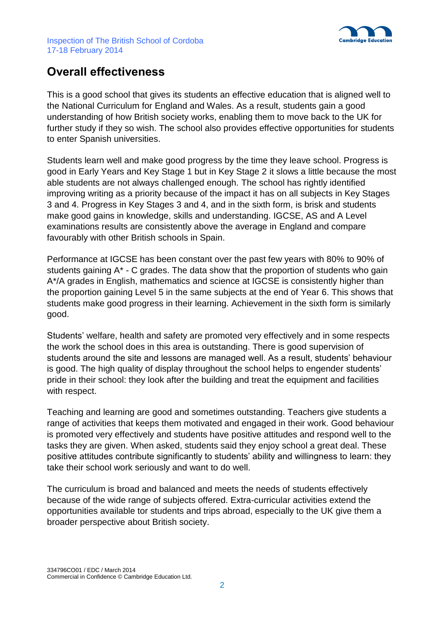

## **Overall effectiveness**

This is a good school that gives its students an effective education that is aligned well to the National Curriculum for England and Wales. As a result, students gain a good understanding of how British society works, enabling them to move back to the UK for further study if they so wish. The school also provides effective opportunities for students to enter Spanish universities.

Students learn well and make good progress by the time they leave school. Progress is good in Early Years and Key Stage 1 but in Key Stage 2 it slows a little because the most able students are not always challenged enough. The school has rightly identified improving writing as a priority because of the impact it has on all subjects in Key Stages 3 and 4. Progress in Key Stages 3 and 4, and in the sixth form, is brisk and students make good gains in knowledge, skills and understanding. IGCSE, AS and A Level examinations results are consistently above the average in England and compare favourably with other British schools in Spain.

Performance at IGCSE has been constant over the past few years with 80% to 90% of students gaining A\* - C grades. The data show that the proportion of students who gain A\*/A grades in English, mathematics and science at IGCSE is consistently higher than the proportion gaining Level 5 in the same subjects at the end of Year 6. This shows that students make good progress in their learning. Achievement in the sixth form is similarly good.

Students' welfare, health and safety are promoted very effectively and in some respects the work the school does in this area is outstanding. There is good supervision of students around the site and lessons are managed well. As a result, students' behaviour is good. The high quality of display throughout the school helps to engender students' pride in their school: they look after the building and treat the equipment and facilities with respect.

Teaching and learning are good and sometimes outstanding. Teachers give students a range of activities that keeps them motivated and engaged in their work. Good behaviour is promoted very effectively and students have positive attitudes and respond well to the tasks they are given. When asked, students said they enjoy school a great deal. These positive attitudes contribute significantly to students' ability and willingness to learn: they take their school work seriously and want to do well.

The curriculum is broad and balanced and meets the needs of students effectively because of the wide range of subjects offered. Extra-curricular activities extend the opportunities available tor students and trips abroad, especially to the UK give them a broader perspective about British society.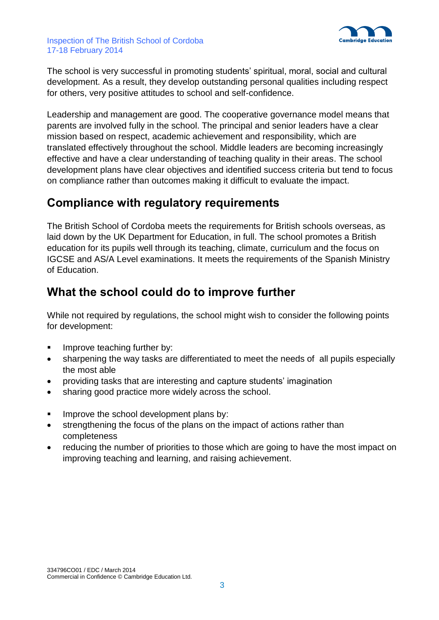

The school is very successful in promoting students' spiritual, moral, social and cultural development. As a result, they develop outstanding personal qualities including respect for others, very positive attitudes to school and self-confidence.

Leadership and management are good. The cooperative governance model means that parents are involved fully in the school. The principal and senior leaders have a clear mission based on respect, academic achievement and responsibility, which are translated effectively throughout the school. Middle leaders are becoming increasingly effective and have a clear understanding of teaching quality in their areas. The school development plans have clear objectives and identified success criteria but tend to focus on compliance rather than outcomes making it difficult to evaluate the impact.

# **Compliance with regulatory requirements**

The British School of Cordoba meets the requirements for British schools overseas, as laid down by the UK Department for Education, in full. The school promotes a British education for its pupils well through its teaching, climate, curriculum and the focus on IGCSE and AS/A Level examinations. It meets the requirements of the Spanish Ministry of Education.

# **What the school could do to improve further**

While not required by regulations, the school might wish to consider the following points for development:

- **IMPROVE teaching further by:**
- sharpening the way tasks are differentiated to meet the needs of all pupils especially the most able
- providing tasks that are interesting and capture students' imagination
- sharing good practice more widely across the school.
- Improve the school development plans by:
- strengthening the focus of the plans on the impact of actions rather than completeness
- reducing the number of priorities to those which are going to have the most impact on improving teaching and learning, and raising achievement.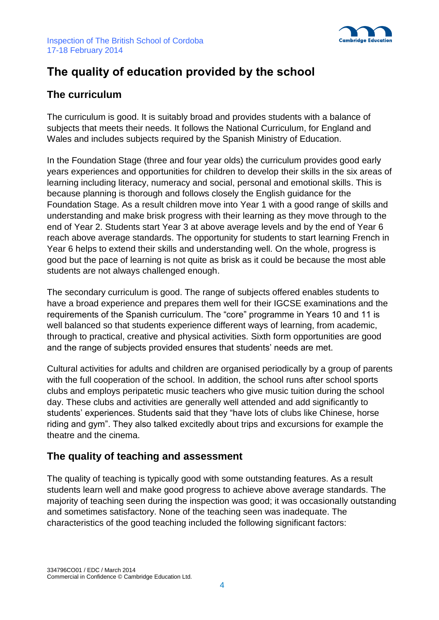

# **The quality of education provided by the school**

## **The curriculum**

The curriculum is good. It is suitably broad and provides students with a balance of subjects that meets their needs. It follows the National Curriculum, for England and Wales and includes subjects required by the Spanish Ministry of Education.

In the Foundation Stage (three and four year olds) the curriculum provides good early years experiences and opportunities for children to develop their skills in the six areas of learning including literacy, numeracy and social, personal and emotional skills. This is because planning is thorough and follows closely the English guidance for the Foundation Stage. As a result children move into Year 1 with a good range of skills and understanding and make brisk progress with their learning as they move through to the end of Year 2. Students start Year 3 at above average levels and by the end of Year 6 reach above average standards. The opportunity for students to start learning French in Year 6 helps to extend their skills and understanding well. On the whole, progress is good but the pace of learning is not quite as brisk as it could be because the most able students are not always challenged enough.

The secondary curriculum is good. The range of subjects offered enables students to have a broad experience and prepares them well for their IGCSE examinations and the requirements of the Spanish curriculum. The "core" programme in Years 10 and 11 is well balanced so that students experience different ways of learning, from academic, through to practical, creative and physical activities. Sixth form opportunities are good and the range of subjects provided ensures that students' needs are met.

Cultural activities for adults and children are organised periodically by a group of parents with the full cooperation of the school. In addition, the school runs after school sports clubs and employs peripatetic music teachers who give music tuition during the school day. These clubs and activities are generally well attended and add significantly to students' experiences. Students said that they "have lots of clubs like Chinese, horse riding and gym". They also talked excitedly about trips and excursions for example the theatre and the cinema.

## **The quality of teaching and assessment**

The quality of teaching is typically good with some outstanding features. As a result students learn well and make good progress to achieve above average standards. The majority of teaching seen during the inspection was good; it was occasionally outstanding and sometimes satisfactory. None of the teaching seen was inadequate. The characteristics of the good teaching included the following significant factors: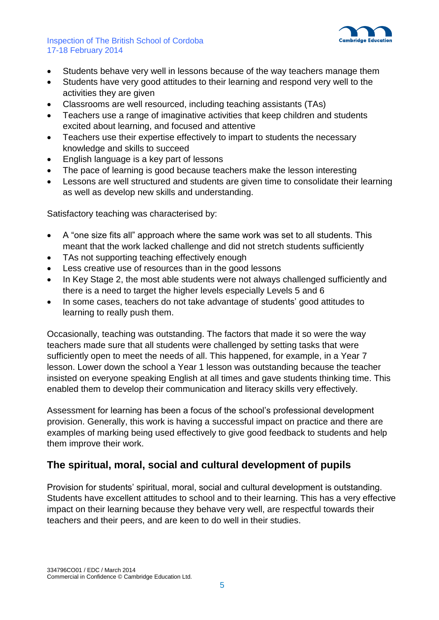

- Students behave very well in lessons because of the way teachers manage them
- Students have very good attitudes to their learning and respond very well to the activities they are given
- Classrooms are well resourced, including teaching assistants (TAs)
- Teachers use a range of imaginative activities that keep children and students excited about learning, and focused and attentive
- Teachers use their expertise effectively to impart to students the necessary knowledge and skills to succeed
- English language is a key part of lessons
- The pace of learning is good because teachers make the lesson interesting
- Lessons are well structured and students are given time to consolidate their learning as well as develop new skills and understanding.

Satisfactory teaching was characterised by:

- A "one size fits all" approach where the same work was set to all students. This meant that the work lacked challenge and did not stretch students sufficiently
- TAs not supporting teaching effectively enough
- Less creative use of resources than in the good lessons
- In Key Stage 2, the most able students were not always challenged sufficiently and there is a need to target the higher levels especially Levels 5 and 6
- In some cases, teachers do not take advantage of students' good attitudes to learning to really push them.

Occasionally, teaching was outstanding. The factors that made it so were the way teachers made sure that all students were challenged by setting tasks that were sufficiently open to meet the needs of all. This happened, for example, in a Year 7 lesson. Lower down the school a Year 1 lesson was outstanding because the teacher insisted on everyone speaking English at all times and gave students thinking time. This enabled them to develop their communication and literacy skills very effectively.

Assessment for learning has been a focus of the school's professional development provision. Generally, this work is having a successful impact on practice and there are examples of marking being used effectively to give good feedback to students and help them improve their work.

## **The spiritual, moral, social and cultural development of pupils**

Provision for students' spiritual, moral, social and cultural development is outstanding. Students have excellent attitudes to school and to their learning. This has a very effective impact on their learning because they behave very well, are respectful towards their teachers and their peers, and are keen to do well in their studies.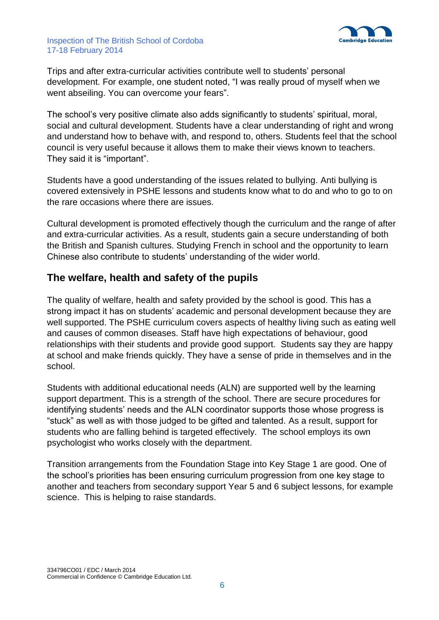

Trips and after extra-curricular activities contribute well to students' personal development. For example, one student noted, "I was really proud of myself when we went abseiling. You can overcome your fears".

The school's very positive climate also adds significantly to students' spiritual, moral, social and cultural development. Students have a clear understanding of right and wrong and understand how to behave with, and respond to, others. Students feel that the school council is very useful because it allows them to make their views known to teachers. They said it is "important".

Students have a good understanding of the issues related to bullying. Anti bullying is covered extensively in PSHE lessons and students know what to do and who to go to on the rare occasions where there are issues.

Cultural development is promoted effectively though the curriculum and the range of after and extra-curricular activities. As a result, students gain a secure understanding of both the British and Spanish cultures. Studying French in school and the opportunity to learn Chinese also contribute to students' understanding of the wider world.

## **The welfare, health and safety of the pupils**

The quality of welfare, health and safety provided by the school is good. This has a strong impact it has on students' academic and personal development because they are well supported. The PSHE curriculum covers aspects of healthy living such as eating well and causes of common diseases. Staff have high expectations of behaviour, good relationships with their students and provide good support. Students say they are happy at school and make friends quickly. They have a sense of pride in themselves and in the school.

Students with additional educational needs (ALN) are supported well by the learning support department. This is a strength of the school. There are secure procedures for identifying students' needs and the ALN coordinator supports those whose progress is "stuck" as well as with those judged to be gifted and talented. As a result, support for students who are falling behind is targeted effectively. The school employs its own psychologist who works closely with the department.

Transition arrangements from the Foundation Stage into Key Stage 1 are good. One of the school's priorities has been ensuring curriculum progression from one key stage to another and teachers from secondary support Year 5 and 6 subject lessons, for example science. This is helping to raise standards.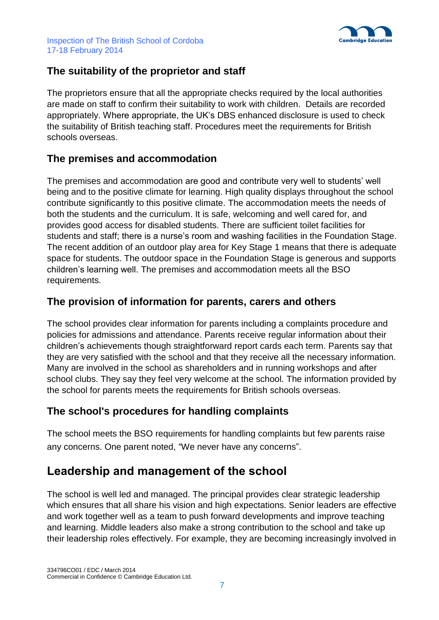

## **The suitability of the proprietor and staff**

The proprietors ensure that all the appropriate checks required by the local authorities are made on staff to confirm their suitability to work with children. Details are recorded appropriately. Where appropriate, the UK's DBS enhanced disclosure is used to check the suitability of British teaching staff. Procedures meet the requirements for British schools overseas.

## **The premises and accommodation**

The premises and accommodation are good and contribute very well to students' well being and to the positive climate for learning. High quality displays throughout the school contribute significantly to this positive climate. The accommodation meets the needs of both the students and the curriculum. It is safe, welcoming and well cared for, and provides good access for disabled students. There are sufficient toilet facilities for students and staff; there is a nurse's room and washing facilities in the Foundation Stage. The recent addition of an outdoor play area for Key Stage 1 means that there is adequate space for students. The outdoor space in the Foundation Stage is generous and supports children's learning well. The premises and accommodation meets all the BSO requirements.

### **The provision of information for parents, carers and others**

The school provides clear information for parents including a complaints procedure and policies for admissions and attendance. Parents receive regular information about their children's achievements though straightforward report cards each term. Parents say that they are very satisfied with the school and that they receive all the necessary information. Many are involved in the school as shareholders and in running workshops and after school clubs. They say they feel very welcome at the school. The information provided by the school for parents meets the requirements for British schools overseas.

## **The school's procedures for handling complaints**

The school meets the BSO requirements for handling complaints but few parents raise any concerns. One parent noted, "We never have any concerns".

## **Leadership and management of the school**

The school is well led and managed. The principal provides clear strategic leadership which ensures that all share his vision and high expectations. Senior leaders are effective and work together well as a team to push forward developments and improve teaching and learning. Middle leaders also make a strong contribution to the school and take up their leadership roles effectively. For example, they are becoming increasingly involved in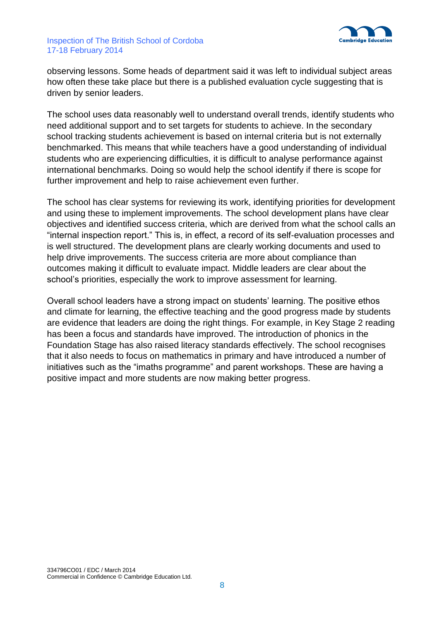

observing lessons. Some heads of department said it was left to individual subject areas how often these take place but there is a published evaluation cycle suggesting that is driven by senior leaders.

The school uses data reasonably well to understand overall trends, identify students who need additional support and to set targets for students to achieve. In the secondary school tracking students achievement is based on internal criteria but is not externally benchmarked. This means that while teachers have a good understanding of individual students who are experiencing difficulties, it is difficult to analyse performance against international benchmarks. Doing so would help the school identify if there is scope for further improvement and help to raise achievement even further.

The school has clear systems for reviewing its work, identifying priorities for development and using these to implement improvements. The school development plans have clear objectives and identified success criteria, which are derived from what the school calls an "internal inspection report." This is, in effect, a record of its self-evaluation processes and is well structured. The development plans are clearly working documents and used to help drive improvements. The success criteria are more about compliance than outcomes making it difficult to evaluate impact. Middle leaders are clear about the school's priorities, especially the work to improve assessment for learning.

Overall school leaders have a strong impact on students' learning. The positive ethos and climate for learning, the effective teaching and the good progress made by students are evidence that leaders are doing the right things. For example, in Key Stage 2 reading has been a focus and standards have improved. The introduction of phonics in the Foundation Stage has also raised literacy standards effectively. The school recognises that it also needs to focus on mathematics in primary and have introduced a number of initiatives such as the "imaths programme" and parent workshops. These are having a positive impact and more students are now making better progress.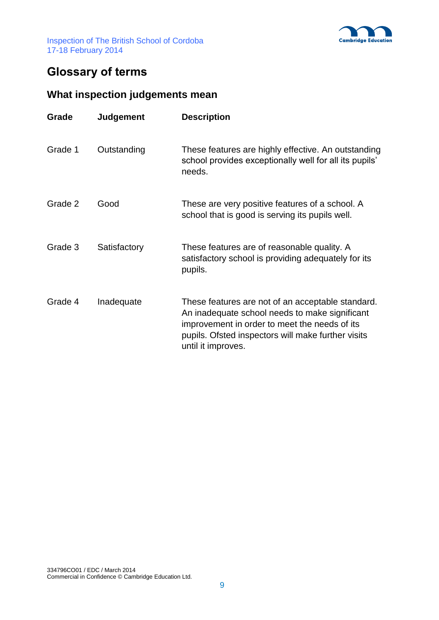



# **Glossary of terms**

## **What inspection judgements mean**

| Grade   | <b>Judgement</b> | <b>Description</b>                                                                                                                                                                                                               |
|---------|------------------|----------------------------------------------------------------------------------------------------------------------------------------------------------------------------------------------------------------------------------|
| Grade 1 | Outstanding      | These features are highly effective. An outstanding<br>school provides exceptionally well for all its pupils'<br>needs.                                                                                                          |
| Grade 2 | Good             | These are very positive features of a school. A<br>school that is good is serving its pupils well.                                                                                                                               |
| Grade 3 | Satisfactory     | These features are of reasonable quality. A<br>satisfactory school is providing adequately for its<br>pupils.                                                                                                                    |
| Grade 4 | Inadequate       | These features are not of an acceptable standard.<br>An inadequate school needs to make significant<br>improvement in order to meet the needs of its<br>pupils. Ofsted inspectors will make further visits<br>until it improves. |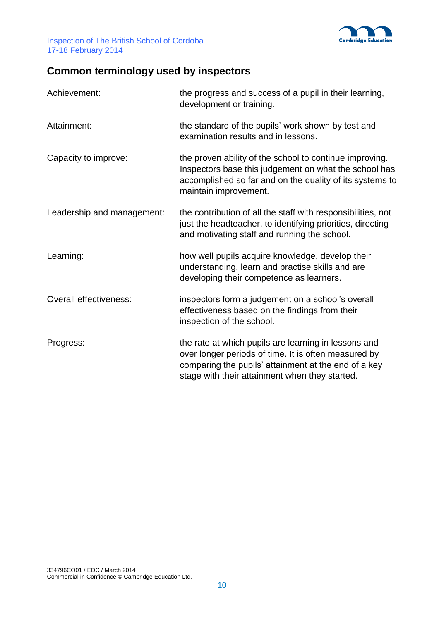

# **Common terminology used by inspectors**

| Achievement:                  | the progress and success of a pupil in their learning,<br>development or training.                                                                                                                                     |
|-------------------------------|------------------------------------------------------------------------------------------------------------------------------------------------------------------------------------------------------------------------|
| Attainment:                   | the standard of the pupils' work shown by test and<br>examination results and in lessons.                                                                                                                              |
| Capacity to improve:          | the proven ability of the school to continue improving.<br>Inspectors base this judgement on what the school has<br>accomplished so far and on the quality of its systems to<br>maintain improvement.                  |
| Leadership and management:    | the contribution of all the staff with responsibilities, not<br>just the headteacher, to identifying priorities, directing<br>and motivating staff and running the school.                                             |
| Learning:                     | how well pupils acquire knowledge, develop their<br>understanding, learn and practise skills and are<br>developing their competence as learners.                                                                       |
| <b>Overall effectiveness:</b> | inspectors form a judgement on a school's overall<br>effectiveness based on the findings from their<br>inspection of the school.                                                                                       |
| Progress:                     | the rate at which pupils are learning in lessons and<br>over longer periods of time. It is often measured by<br>comparing the pupils' attainment at the end of a key<br>stage with their attainment when they started. |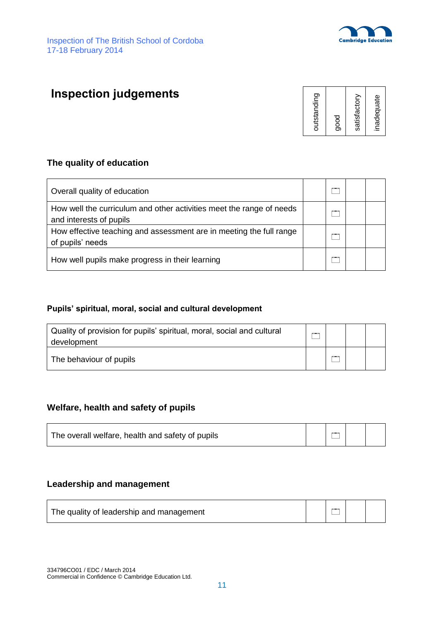



# **Inspection judgements**



### **The quality of education**

| Overall quality of education                                                                    | $\sim$ |  |
|-------------------------------------------------------------------------------------------------|--------|--|
| How well the curriculum and other activities meet the range of needs<br>and interests of pupils |        |  |
| How effective teaching and assessment are in meeting the full range<br>of pupils' needs         |        |  |
| How well pupils make progress in their learning                                                 |        |  |

#### **Pupils' spiritual, moral, social and cultural development**

| Quality of provision for pupils' spiritual, moral, social and cultural<br>development |    |  |
|---------------------------------------------------------------------------------------|----|--|
| The behaviour of pupils                                                               | -- |  |

### **Welfare, health and safety of pupils**

| $\overline{ }$<br>The overall welfare, health and safety of pupils |
|--------------------------------------------------------------------|
|--------------------------------------------------------------------|

#### **Leadership and management**

| The quality of leadership and management |  | $\overline{\phantom{a}}$ |  |  |
|------------------------------------------|--|--------------------------|--|--|
|------------------------------------------|--|--------------------------|--|--|